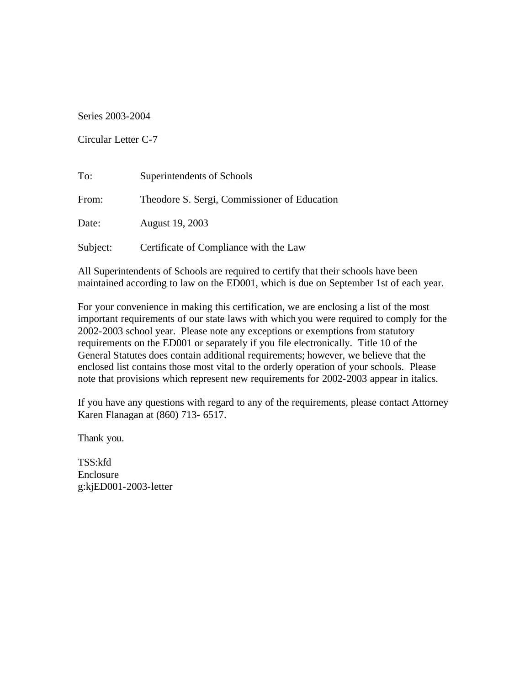Series 2003-2004

Circular Letter C-7

| To:      | Superintendents of Schools                   |
|----------|----------------------------------------------|
| From:    | Theodore S. Sergi, Commissioner of Education |
| Date:    | August 19, 2003                              |
| Subject: | Certificate of Compliance with the Law       |

All Superintendents of Schools are required to certify that their schools have been maintained according to law on the ED001, which is due on September 1st of each year.

For your convenience in making this certification, we are enclosing a list of the most important requirements of our state laws with which you were required to comply for the 2002-2003 school year. Please note any exceptions or exemptions from statutory requirements on the ED001 or separately if you file electronically. Title 10 of the General Statutes does contain additional requirements; however, we believe that the enclosed list contains those most vital to the orderly operation of your schools. Please note that provisions which represent new requirements for 2002-2003 appear in italics.

If you have any questions with regard to any of the requirements, please contact Attorney Karen Flanagan at (860) 713- 6517.

Thank you.

TSS:kfd Enclosure g:kjED001-2003-letter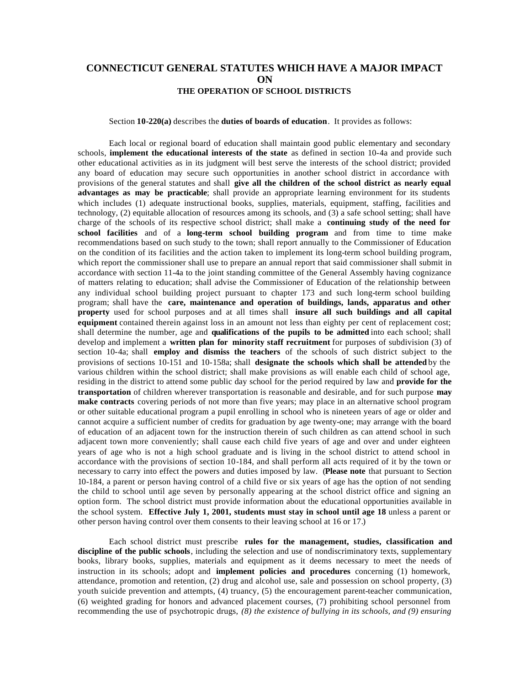## **CONNECTICUT GENERAL STATUTES WHICH HAVE A MAJOR IMPACT ON THE OPERATION OF SCHOOL DISTRICTS**

## Section **10-220(a)** describes the **duties of boards of education**. It provides as follows:

Each local or regional board of education shall maintain good public elementary and secondary schools, **implement the educational interests of the state** as defined in section 10-4a and provide such other educational activities as in its judgment will best serve the interests of the school district; provided any board of education may secure such opportunities in another school district in accordance with provisions of the general statutes and shall **give all the children of the school district as nearly equal advantages as may be practicable**; shall provide an appropriate learning environment for its students which includes (1) adequate instructional books, supplies, materials, equipment, staffing, facilities and technology, (2) equitable allocation of resources among its schools, and (3) a safe school setting; shall have charge of the schools of its respective school district; shall make a **continuing study of the need for school facilities** and of a **long-term school building program** and from time to time make recommendations based on such study to the town; shall report annually to the Commissioner of Education on the condition of its facilities and the action taken to implement its long-term school building program, which report the commissioner shall use to prepare an annual report that said commissioner shall submit in accordance with section 11-4a to the joint standing committee of the General Assembly having cognizance of matters relating to education; shall advise the Commissioner of Education of the relationship between any individual school building project pursuant to chapter 173 and such long-term school building program; shall have the **care, maintenance and operation of buildings, lands, apparatus and other property** used for school purposes and at all times shall **insure all such buildings and all capital equipment** contained therein against loss in an amount not less than eighty per cent of replacement cost; shall determine the number, age and **qualifications of the pupils to be admitted** into each school; shall develop and implement a **written plan for minority staff recruitment** for purposes of subdivision (3) of section 10-4a; shall **employ and dismiss the teachers** of the schools of such district subject to the provisions of sections 10-151 and 10-158a; shall **designate the schools which shall be attended** by the various children within the school district; shall make provisions as will enable each child of school age, residing in the district to attend some public day school for the period required by law and **provide for the transportation** of children wherever transportation is reasonable and desirable, and for such purpose **may make contracts** covering periods of not more than five years; may place in an alternative school program or other suitable educational program a pupil enrolling in school who is nineteen years of age or older and cannot acquire a sufficient number of credits for graduation by age twenty-one; may arrange with the board of education of an adjacent town for the instruction therein of such children as can attend school in such adjacent town more conveniently; shall cause each child five years of age and over and under eighteen years of age who is not a high school graduate and is living in the school district to attend school in accordance with the provisions of section 10-184, and shall perform all acts required of it by the town or necessary to carry into effect the powers and duties imposed by law. (**Please note** that pursuant to Section 10-184, a parent or person having control of a child five or six years of age has the option of not sending the child to school until age seven by personally appearing at the school district office and signing an option form. The school district must provide information about the educational opportunities available in the school system. **Effective July 1, 2001, students must stay in school until age 18** unless a parent or other person having control over them consents to their leaving school at 16 or 17.)

Each school district must prescribe **rules for the management, studies, classification and discipline of the public schools**, including the selection and use of nondiscriminatory texts, supplementary books, library books, supplies, materials and equipment as it deems necessary to meet the needs of instruction in its schools; adopt and **implement policies and procedures** concerning (1) homework, attendance, promotion and retention, (2) drug and alcohol use, sale and possession on school property, (3) youth suicide prevention and attempts, (4) truancy, (5) the encouragement parent-teacher communication*,*  (6) weighted grading for honors and advanced placement courses, (7) prohibiting school personnel from recommending the use of psychotropic drugs, *(8) the existence of bullying in its schools, and (9) ensuring*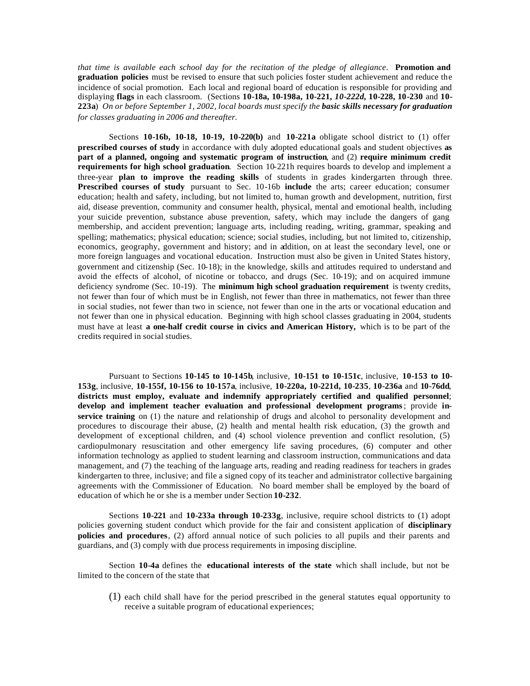*that time is available each school day for the recitation of the pledge of allegiance*. **Promotion and graduation policies** must be revised to ensure that such policies foster student achievement and reduce the incidence of social promotion. Each local and regional board of education is responsible for providing and displaying **flags** in each classroom. (Sections **10-18a, 10-198a, 10-221,** *10-222d,* **10-228, 10-230** and **10- 223a**) *On or before September 1, 2002, local boards must specify the basic skills necessary for graduation for classes graduating in 2006 and thereafter.* 

Sections **10-16b, 10-18, 10-19, 10-220(b)** and **10-221a** obligate school district to (1) offer **prescribed courses of study** in accordance with duly adopted educational goals and student objectives **as part of a planned, ongoing and systematic program of instruction**, and (2) **require minimum credit requirements for high school graduation**. Section 10-221h requires boards to develop and implement a three-year **plan to improve the reading skills** of students in grades kindergarten through three*.*  **Prescribed courses of study** pursuant to Sec. 10-16b **include** the arts; career education; consumer education; health and safety, including, but not limited to, human growth and development, nutrition, first aid, disease prevention, community and consumer health, physical, mental and emotional health, including your suicide prevention, substance abuse prevention, safety, which may include the dangers of gang membership, and accident prevention; language arts, including reading, writing, grammar, speaking and spelling; mathematics; physical education; science; social studies, including, but not limited to, citizenship, economics, geography, government and history; and in addition, on at least the secondary level, one or more foreign languages and vocational education. Instruction must also be given in United States history, government and citizenship (Sec. 10-18); in the knowledge, skills and attitudes required to understand and avoid the effects of alcohol, of nicotine or tobacco, and drugs (Sec. 10-19); and on acquired immune deficiency syndrome (Sec. 10-19). The **minimum high school graduation requirement** is twenty credits, not fewer than four of which must be in English, not fewer than three in mathematics, not fewer than three in social studies, not fewer than two in science, not fewer than one in the arts or vocational education and not fewer than one in physical education. Beginning with high school classes graduating in 2004, students must have at least **a one-half credit course in civics and American History,** which is to be part of the credits required in social studies.

Pursuant to Sections **10-145 to 10-145b**, inclusive, **10-151 to 10-151c**, inclusive, **10-153 to 10- 153g**, inclusive, **10-155f, 10-156 to 10-157a**, inclusive, **10-220a, 10-221d, 10-235**, **10-236a** and **10-76dd**, **districts must employ, evaluate and indemnify appropriately certified and qualified personnel**; **develop and implement teacher evaluation and professional development programs** ; provide **inservice training** on (1) the nature and relationship of drugs and alcohol to personality development and procedures to discourage their abuse, (2) health and mental health risk education, (3) the growth and development of exceptional children, and (4) school violence prevention and conflict resolution, (5) cardiopulmonary resuscitation and other emergency life saving procedures, (6) computer and other information technology as applied to student learning and classroom instruction, communications and data management, and (7) the teaching of the language arts, reading and reading readiness for teachers in grades kindergarten to three*,* inclusive; and file a signed copy of its teacher and administrator collective bargaining agreements with the Commissioner of Education. No board member shall be employed by the board of education of which he or she is a member under Section **10-232**.

Sections **10-221** and **10-233a through 10-233g**, inclusive, require school districts to (1) adopt policies governing student conduct which provide for the fair and consistent application of **disciplinary policies and procedures**, (2) afford annual notice of such policies to all pupils and their parents and guardians, and (3) comply with due process requirements in imposing discipline.

Section **10-4a** defines the **educational interests of the state** which shall include, but not be limited to the concern of the state that

(1) each child shall have for the period prescribed in the general statutes equal opportunity to receive a suitable program of educational experiences;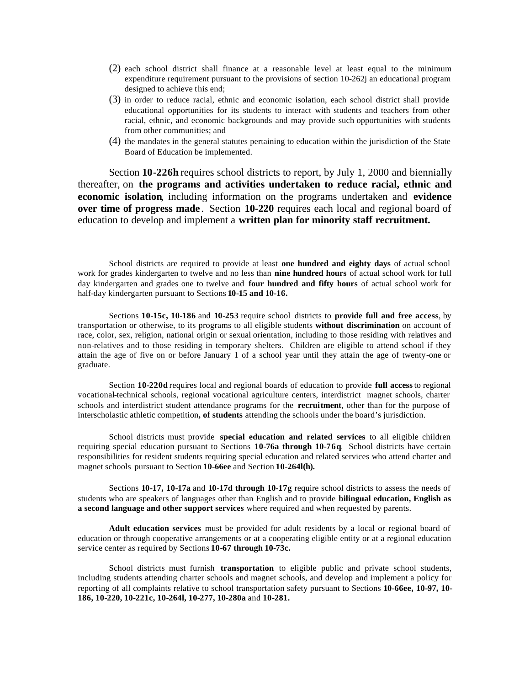- (2) each school district shall finance at a reasonable level at least equal to the minimum expenditure requirement pursuant to the provisions of section 10-262j an educational program designed to achieve this end;
- (3) in order to reduce racial, ethnic and economic isolation, each school district shall provide educational opportunities for its students to interact with students and teachers from other racial, ethnic, and economic backgrounds and may provide such opportunities with students from other communities; and
- (4) the mandates in the general statutes pertaining to education within the jurisdiction of the State Board of Education be implemented.

Section **10-226h** requires school districts to report, by July 1, 2000 and biennially thereafter, on **the programs and activities undertaken to reduce racial, ethnic and economic isolation**, including information on the programs undertaken and **evidence over time of progress made** . Section **10-220** requires each local and regional board of education to develop and implement a **written plan for minority staff recruitment.** 

School districts are required to provide at least **one hundred and eighty days** of actual school work for grades kindergarten to twelve and no less than **nine hundred hours** of actual school work for full day kindergarten and grades one to twelve and **four hundred and fifty hours** of actual school work for half-day kindergarten pursuant to Sections **10-15 and 10-16.** 

Sections **10-15c, 10-186** and **10-253** require school districts to **provide full and free access**, by transportation or otherwise, to its programs to all eligible students **without discrimination** on account of race, color, sex, religion, national origin or sexual orientation*,* including to those residing with relatives and non-relatives and to those residing in temporary shelters. Children are eligible to attend school if they attain the age of five on or before January 1 of a school year until they attain the age of twenty-one or graduate.

Section **10-220d** requires local and regional boards of education to provide **full access** to regional vocational-technical schools, regional vocational agriculture centers, interdistrict magnet schools, charter schools and interdistrict student attendance programs for the **recruitment**, other than for the purpose of interscholastic athletic competition**, of students** attending the schools under the board's jurisdiction.

School districts must provide **special education and related services** to all eligible children requiring special education pursuant to Sections **10-76a through 10-76q**. School districts have certain responsibilities for resident students requiring special education and related services who attend charter and magnet schools pursuant to Section **10-66ee** and Section **10-264l(h).** 

Sections **10-17, 10-17a** and **10-17d through 10-17g** require school districts to assess the needs of students who are speakers of languages other than English and to provide **bilingual education, English as a second language and other support services** where required and when requested by parents.

**Adult education services** must be provided for adult residents by a local or regional board of education or through cooperative arrangements or at a cooperating eligible entity or at a regional education service center as required by Sections **10-67 through 10-73c.** 

School districts must furnish **transportation** to eligible public and private school students, including students attending charter schools and magnet schools, and develop and implement a policy for reporting of all complaints relative to school transportation safety pursuant to Sections **10-66ee, 10-97, 10- 186, 10-220, 10-221c, 10-264l, 10-277, 10-280a** and **10-281.**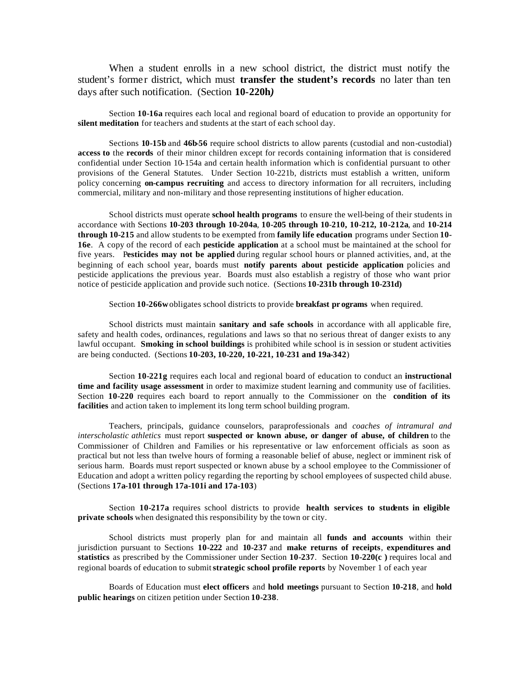When a student enrolls in a new school district, the district must notify the student's former district, which must **transfer the student's records** no later than ten days after such notification. (Section **10-220h***)* 

Section **10-16a** requires each local and regional board of education to provide an opportunity for **silent meditation** for teachers and students at the start of each school day.

Sections **10-15b** and **46b-56** require school districts to allow parents (custodial and non-custodial) **access to** the **records** of their minor children except for records containing information that is considered confidential under Section 10-154a and certain health information which is confidential pursuant to other provisions of the General Statutes. Under Section 10-221b, districts must establish a written, uniform policy concerning **on-campus recruiting** and access to directory information for all recruiters, including commercial, military and non-military and those representing institutions of higher education.

School districts must operate **school health programs** to ensure the well-being of their students in accordance with Sections **10-203 through 10-204a**, **10-205 through 10**-**210, 10-212, 10-212a**, and **10-214 through 10-215** and allow students to be exempted from **family life education** programs under Section **10- 16e**. A copy of the record of each **pesticide application** at a school must be maintained at the school for five years. P**esticides may not be applied** during regular school hours or planned activities, and, at the beginning of each school year, boards must **notify parents about pesticide application** policies and pesticide applications the previous year. Boards must also establish a registry of those who want prior notice of pesticide application and provide such notice. (Sections **10-231b through 10-231d)** 

Section **10-266w** obligates school districts to provide **breakfast pr ograms** when required.

School districts must maintain **sanitary and safe schools** in accordance with all applicable fire, safety and health codes, ordinances, regulations and laws so that no serious threat of danger exists to any lawful occupant. **Smoking in school buildings** is prohibited while school is in session or student activities are being conducted. (Sections **10-203, 10-220, 10-221, 10-231 and 19a-342**)

Section **10-221g** requires each local and regional board of education to conduct an **instructional time and facility usage assessment** in order to maximize student learning and community use of facilities. Section **10-220** requires each board to report annually to the Commissioner on the **condition of its facilities** and action taken to implement its long term school building program.

Teachers, principals, guidance counselors, paraprofessionals and *coaches of intramural and interscholastic athletics* must report **suspected or known abuse, or danger of abuse, of children** to the Commissioner of Children and Families or his representative or law enforcement officials as soon as practical but not less than twelve hours of forming a reasonable belief of abuse, neglect or imminent risk of serious harm. Boards must report suspected or known abuse by a school employee to the Commissioner of Education and adopt a written policy regarding the reporting by school employees of suspected child abuse. (Sections **17a-101 through 17a-101i and 17a-103**)

Section **10-217a** requires school districts to provide **health services to students in eligible private schools** when designated this responsibility by the town or city.

School districts must properly plan for and maintain all **funds and accounts** within their jurisdiction pursuant to Sections **10-222** and **10-237** and **make returns of receipts** , **expenditures and statistics** as prescribed by the Commissioner under Section **10-237**. Section **10-220(c )** requires local and regional boards of education to submit **strategic school profile reports** by November 1 of each year

Boards of Education must **elect officers** and **hold meetings** pursuant to Section **10-218**, and **hold public hearings** on citizen petition under Section **10-238**.